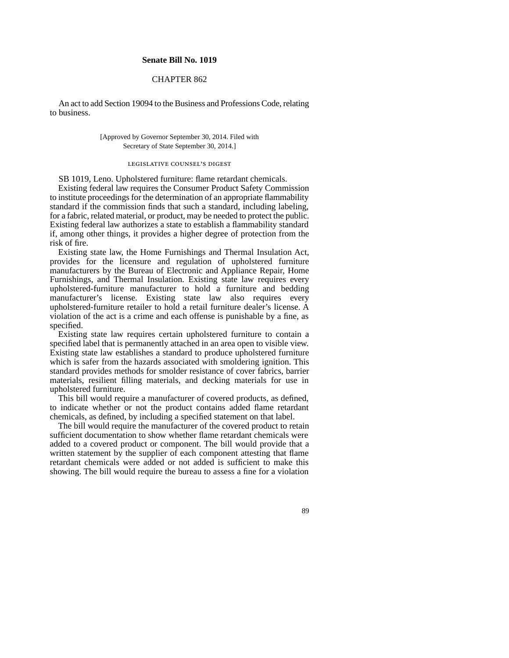## **Senate Bill No. 1019**

## CHAPTER 862

An act to add Section 19094 to the Business and Professions Code, relating to business.

> [Approved by Governor September 30, 2014. Filed with Secretary of State September 30, 2014.]

## legislative counsel' s digest

SB 1019, Leno. Upholstered furniture: flame retardant chemicals. Existing federal law requires the Consumer Product Safety Commission to institute proceedings for the determination of an appropriate flammability standard if the commission finds that such a standard, including labeling, for a fabric, related material, or product, may be needed to protect the public. Existing federal law authorizes a state to establish a flammability standard if, among other things, it provides a higher degree of protection from the risk of fire.

Existing state law, the Home Furnishings and Thermal Insulation Act, provides for the licensure and regulation of upholstered furniture manufacturers by the Bureau of Electronic and Appliance Repair, Home Furnishings, and Thermal Insulation. Existing state law requires every upholstered-furniture manufacturer to hold a furniture and bedding manufacturer's license. Existing state law also requires every upholstered-furniture retailer to hold a retail furniture dealer's license. A violation of the act is a crime and each offense is punishable by a fine, as specified.

Existing state law requires certain upholstered furniture to contain a specified label that is permanently attached in an area open to visible view. Existing state law establishes a standard to produce upholstered furniture which is safer from the hazards associated with smoldering ignition. This standard provides methods for smolder resistance of cover fabrics, barrier materials, resilient filling materials, and decking materials for use in upholstered furniture.

This bill would require a manufacturer of covered products, as defined, to indicate whether or not the product contains added flame retardant chemicals, as defined, by including a specified statement on that label.

The bill would require the manufacturer of the covered product to retain sufficient documentation to show whether flame retardant chemicals were added to a covered product or component. The bill would provide that a written statement by the supplier of each component attesting that flame retardant chemicals were added or not added is sufficient to make this showing. The bill would require the bureau to assess a fine for a violation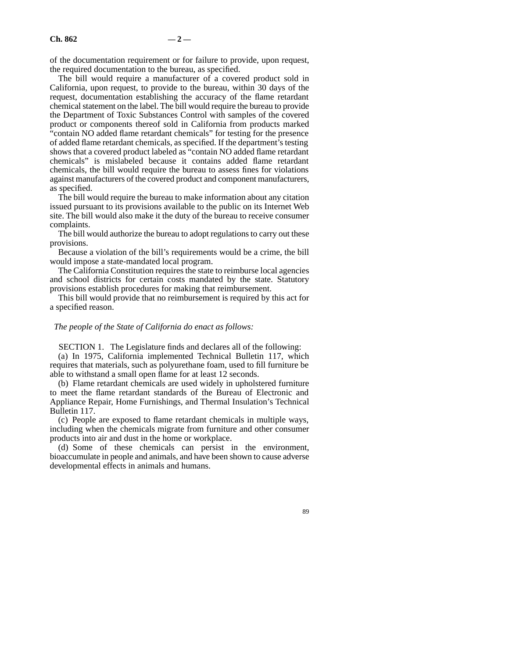of the documentation requirement or for failure to provide, upon request, the required documentation to the bureau, as specified.

The bill would require a manufacturer of a covered product sold in California, upon request, to provide to the bureau, within 30 days of the request, documentation establishing the accuracy of the flame retardant chemical statement on the label. The bill would require the bureau to provide the Department of Toxic Substances Control with samples of the covered product or components thereof sold in California from products marked "contain NO added flame retardant chemicals" for testing for the presence of added flame retardant chemicals, as specified. If the department's testing shows that a covered product labeled as "contain NO added flame retardant chemicals" is mislabeled because it contains added flame retardant chemicals, the bill would require the bureau to assess fines for violations against manufacturers of the covered product and component manufacturers, as specified.

The bill would require the bureau to make information about any citation issued pursuant to its provisions available to the public on its Internet Web site. The bill would also make it the duty of the bureau to receive consumer complaints.

The bill would authorize the bureau to adopt regulations to carry out these provisions.

Because a violation of the bill's requirements would be a crime, the bill would impose a state-mandated local program.

The California Constitution requires the state to reimburse local agencies and school districts for certain costs mandated by the state. Statutory provisions establish procedures for making that reimbursement.

This bill would provide that no reimbursement is required by this act for a specified reason.

## *The people of the State of California do enact as follows:*

SECTION 1. The Legislature finds and declares all of the following:

(a) In 1975, California implemented Technical Bulletin 117, which requires that materials, such as polyurethane foam, used to fill furniture be able to withstand a small open flame for at least 12 seconds.

(b) Flame retardant chemicals are used widely in upholstered furniture to meet the flame retardant standards of the Bureau of Electronic and Appliance Repair, Home Furnishings, and Thermal Insulation's Technical Bulletin 117.

(c) People are exposed to flame retardant chemicals in multiple ways, including when the chemicals migrate from furniture and other consumer products into air and dust in the home or workplace.

(d) Some of these chemicals can persist in the environment, bioaccumulate in people and animals, and have been shown to cause adverse developmental effects in animals and humans.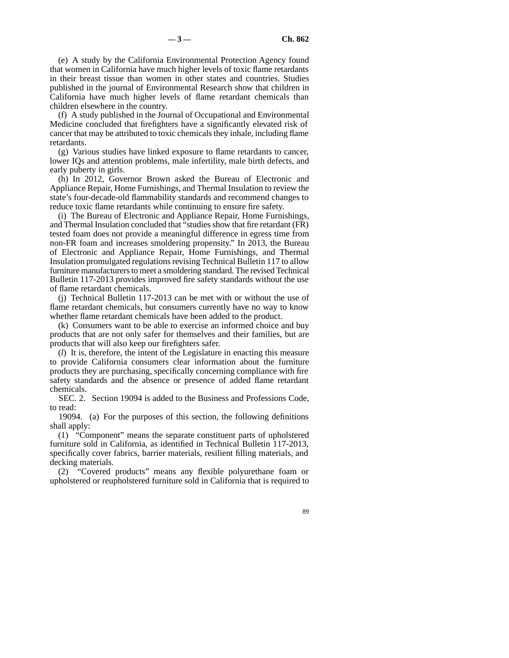(e) A study by the California Environmental Protection Agency found that women in California have much higher levels of toxic flame retardants in their breast tissue than women in other states and countries. Studies published in the journal of Environmental Research show that children in California have much higher levels of flame retardant chemicals than children elsewhere in the country.

(f) A study published in the Journal of Occupational and Environmental Medicine concluded that firefighters have a significantly elevated risk of cancer that may be attributed to toxic chemicals they inhale, including flame retardants.

(g) Various studies have linked exposure to flame retardants to cancer, lower IQs and attention problems, male infertility, male birth defects, and early puberty in girls.

(h) In 2012, Governor Brown asked the Bureau of Electronic and Appliance Repair, Home Furnishings, and Thermal Insulation to review the state's four-decade-old flammability standards and recommend changes to reduce toxic flame retardants while continuing to ensure fire safety.

(i) The Bureau of Electronic and Appliance Repair, Home Furnishings, and Thermal Insulation concluded that "studies show that fire retardant (FR) tested foam does not provide a meaningful difference in egress time from non-FR foam and increases smoldering propensity." In 2013, the Bureau of Electronic and Appliance Repair, Home Furnishings, and Thermal Insulation promulgated regulations revising Technical Bulletin 117 to allow furniture manufacturers to meet a smoldering standard. The revised Technical Bulletin 117-2013 provides improved fire safety standards without the use of flame retardant chemicals.

(j) Technical Bulletin 117-2013 can be met with or without the use of flame retardant chemicals, but consumers currently have no way to know whether flame retardant chemicals have been added to the product.

(k) Consumers want to be able to exercise an informed choice and buy products that are not only safer for themselves and their families, but are products that will also keep our firefighters safer.

(*l*) It is, therefore, the intent of the Legislature in enacting this measure to provide California consumers clear information about the furniture products they are purchasing, specifically concerning compliance with fire safety standards and the absence or presence of added flame retardant chemicals.

SEC. 2. Section 19094 is added to the Business and Professions Code, to read:

19094. (a) For the purposes of this section, the following definitions shall apply:

(1) "Component" means the separate constituent parts of upholstered furniture sold in California, as identified in Technical Bulletin 117-2013, specifically cover fabrics, barrier materials, resilient filling materials, and decking materials.

(2) "Covered products" means any flexible polyurethane foam or upholstered or reupholstered furniture sold in California that is required to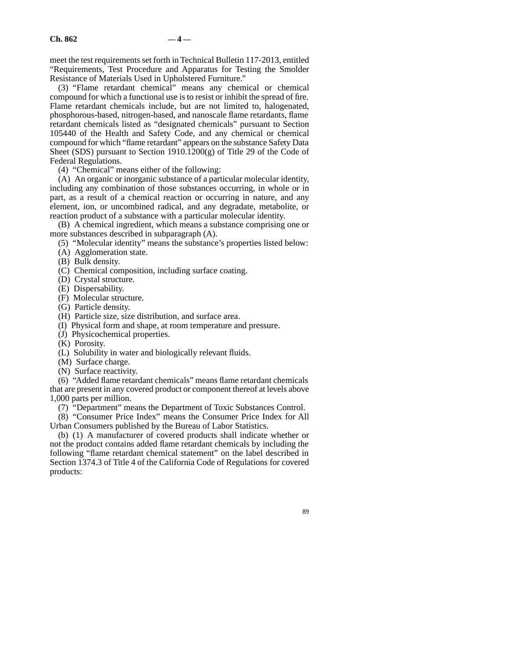meet the test requirements set forth in Technical Bulletin 117-2013, entitled "Requirements, Test Procedure and Apparatus for Testing the Smolder Resistance of Materials Used in Upholstered Furniture."

(3) "Flame retardant chemical" means any chemical or chemical compound for which a functional use is to resist or inhibit the spread of fire. Flame retardant chemicals include, but are not limited to, halogenated, phosphorous-based, nitrogen-based, and nanoscale flame retardants, flame retardant chemicals listed as "designated chemicals" pursuant to Section 105440 of the Health and Safety Code, and any chemical or chemical compound for which "flame retardant" appears on the substance Safety Data Sheet (SDS) pursuant to Section  $1910.1200(g)$  of Title 29 of the Code of Federal Regulations.

(4) "Chemical" means either of the following:

(A) An organic or inorganic substance of a particular molecular identity, including any combination of those substances occurring, in whole or in part, as a result of a chemical reaction or occurring in nature, and any element, ion, or uncombined radical, and any degradate, metabolite, or reaction product of a substance with a particular molecular identity.

(B) A chemical ingredient, which means a substance comprising one or more substances described in subparagraph (A).

(5) "Molecular identity" means the substance's properties listed below:

- (A) Agglomeration state.
- (B) Bulk density.
- (C) Chemical composition, including surface coating.
- (D) Crystal structure.
- (E) Dispersability.
- (F) Molecular structure.
- (G) Particle density.
- (H) Particle size, size distribution, and surface area.
- (I) Physical form and shape, at room temperature and pressure.
- (J) Physicochemical properties.
- (K) Porosity.
- (L) Solubility in water and biologically relevant fluids.
- (M) Surface charge.
- (N) Surface reactivity.

(6) "Added flame retardant chemicals" means flame retardant chemicals that are present in any covered product or component thereof at levels above 1,000 parts per million.

(7) "Department" means the Department of Toxic Substances Control.

(8) "Consumer Price Index" means the Consumer Price Index for All Urban Consumers published by the Bureau of Labor Statistics.

(b) (1) A manufacturer of covered products shall indicate whether or not the product contains added flame retardant chemicals by including the following "flame retardant chemical statement" on the label described in Section 1374.3 of Title 4 of the California Code of Regulations for covered products: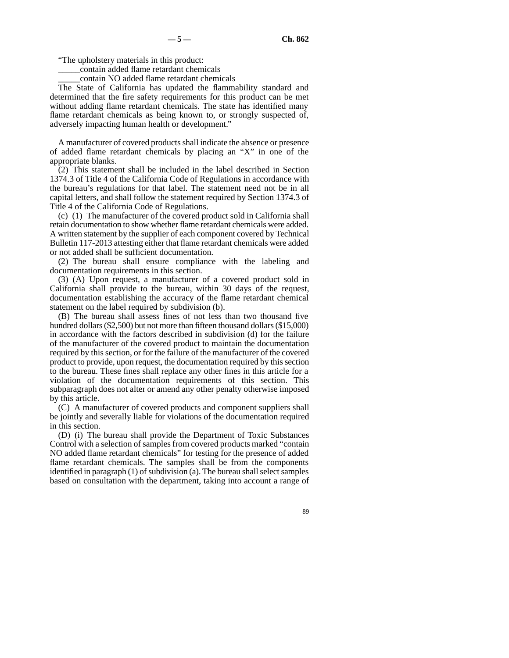"The upholstery materials in this product:

\_\_\_\_\_contain added flame retardant chemicals

\_\_\_\_\_contain NO added flame retardant chemicals

The State of California has updated the flammability standard and determined that the fire safety requirements for this product can be met without adding flame retardant chemicals. The state has identified many flame retardant chemicals as being known to, or strongly suspected of, adversely impacting human health or development."

A manufacturer of covered products shall indicate the absence or presence of added flame retardant chemicals by placing an "X" in one of the appropriate blanks.

 $(2)$  This statement shall be included in the label described in Section 1374.3 of Title 4 of the California Code of Regulations in accordance with the bureau's regulations for that label. The statement need not be in all capital letters, and shall follow the statement required by Section 1374.3 of Title 4 of the California Code of Regulations.

(c) (1) The manufacturer of the covered product sold in California shall retain documentation to show whether flame retardant chemicals were added. A written statement by the supplier of each component covered by Technical Bulletin 117-2013 attesting either that flame retardant chemicals were added or not added shall be sufficient documentation.

(2) The bureau shall ensure compliance with the labeling and documentation requirements in this section.

(3) (A) Upon request, a manufacturer of a covered product sold in California shall provide to the bureau, within 30 days of the request, documentation establishing the accuracy of the flame retardant chemical statement on the label required by subdivision (b).

(B) The bureau shall assess fines of not less than two thousand five hundred dollars (\$2,500) but not more than fifteen thousand dollars (\$15,000) in accordance with the factors described in subdivision (d) for the failure of the manufacturer of the covered product to maintain the documentation required by this section, or for the failure of the manufacturer of the covered product to provide, upon request, the documentation required by this section to the bureau. These fines shall replace any other fines in this article for a violation of the documentation requirements of this section. This subparagraph does not alter or amend any other penalty otherwise imposed by this article.

(C) A manufacturer of covered products and component suppliers shall be jointly and severally liable for violations of the documentation required in this section.

(D) (i) The bureau shall provide the Department of Toxic Substances Control with a selection of samples from covered products marked "contain NO added flame retardant chemicals" for testing for the presence of added flame retardant chemicals. The samples shall be from the components identified in paragraph (1) of subdivision (a). The bureau shall select samples based on consultation with the department, taking into account a range of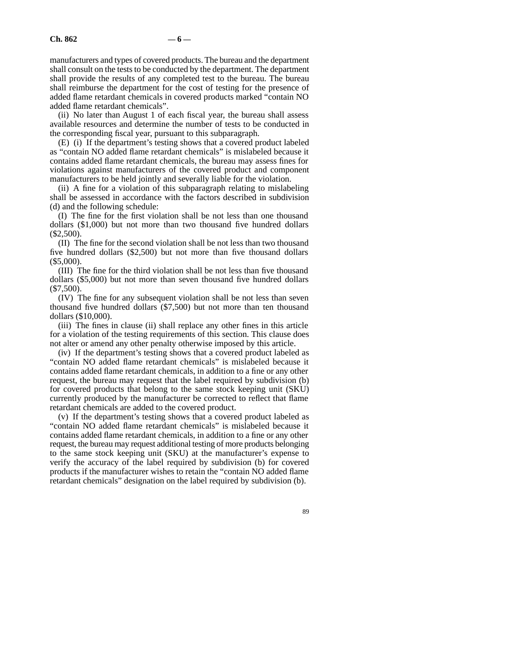manufacturers and types of covered products. The bureau and the department shall consult on the tests to be conducted by the department. The department shall provide the results of any completed test to the bureau. The bureau shall reimburse the department for the cost of testing for the presence of added flame retardant chemicals in covered products marked "contain NO added flame retardant chemicals".

(ii) No later than August 1 of each fiscal year, the bureau shall assess available resources and determine the number of tests to be conducted in the corresponding fiscal year, pursuant to this subparagraph.

(E) (i) If the department's testing shows that a covered product labeled as "contain NO added flame retardant chemicals" is mislabeled because it contains added flame retardant chemicals, the bureau may assess fines for violations against manufacturers of the covered product and component manufacturers to be held jointly and severally liable for the violation.

(ii) A fine for a violation of this subparagraph relating to mislabeling shall be assessed in accordance with the factors described in subdivision (d) and the following schedule:

(I) The fine for the first violation shall be not less than one thousand dollars (\$1,000) but not more than two thousand five hundred dollars (\$2,500).

(II) The fine for the second violation shall be not less than two thousand five hundred dollars (\$2,500) but not more than five thousand dollars (\$5,000).

(III) The fine for the third violation shall be not less than five thousand dollars (\$5,000) but not more than seven thousand five hundred dollars (\$7,500).

(IV) The fine for any subsequent violation shall be not less than seven thousand five hundred dollars (\$7,500) but not more than ten thousand dollars (\$10,000).

(iii) The fines in clause (ii) shall replace any other fines in this article for a violation of the testing requirements of this section. This clause does not alter or amend any other penalty otherwise imposed by this article.

(iv) If the department's testing shows that a covered product labeled as "contain NO added flame retardant chemicals" is mislabeled because it contains added flame retardant chemicals, in addition to a fine or any other request, the bureau may request that the label required by subdivision (b) for covered products that belong to the same stock keeping unit (SKU) currently produced by the manufacturer be corrected to reflect that flame retardant chemicals are added to the covered product.

(v) If the department's testing shows that a covered product labeled as "contain NO added flame retardant chemicals" is mislabeled because it contains added flame retardant chemicals, in addition to a fine or any other request, the bureau may request additional testing of more products belonging to the same stock keeping unit (SKU) at the manufacturer's expense to verify the accuracy of the label required by subdivision (b) for covered products if the manufacturer wishes to retain the "contain NO added flame retardant chemicals" designation on the label required by subdivision (b).